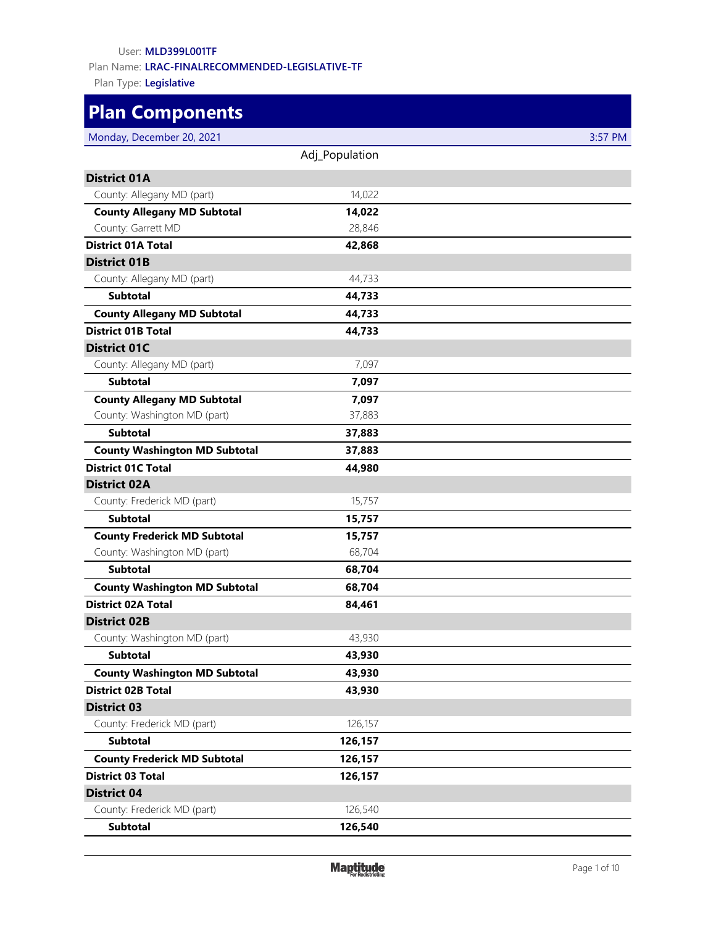### User: **MLD399L001TF**

Plan Name: **LRAC-FINALRECOMMENDED-LEGISLATIVE-TF**

Plan Type: **Legislative**

# **Plan Components**

| Monday, December 20, 2021            |                | 3:57 PM |
|--------------------------------------|----------------|---------|
|                                      | Adj_Population |         |
| <b>District 01A</b>                  |                |         |
| County: Allegany MD (part)           | 14,022         |         |
| <b>County Allegany MD Subtotal</b>   | 14,022         |         |
| County: Garrett MD                   | 28,846         |         |
| <b>District 01A Total</b>            | 42,868         |         |
| <b>District 01B</b>                  |                |         |
| County: Allegany MD (part)           | 44,733         |         |
| <b>Subtotal</b>                      | 44,733         |         |
| <b>County Allegany MD Subtotal</b>   | 44,733         |         |
| <b>District 01B Total</b>            | 44,733         |         |
| <b>District 01C</b>                  |                |         |
| County: Allegany MD (part)           | 7,097          |         |
| <b>Subtotal</b>                      | 7,097          |         |
| <b>County Allegany MD Subtotal</b>   | 7,097          |         |
| County: Washington MD (part)         | 37,883         |         |
| <b>Subtotal</b>                      | 37,883         |         |
| <b>County Washington MD Subtotal</b> | 37,883         |         |
| <b>District 01C Total</b>            | 44,980         |         |
| <b>District 02A</b>                  |                |         |
| County: Frederick MD (part)          | 15,757         |         |
| <b>Subtotal</b>                      | 15,757         |         |
| <b>County Frederick MD Subtotal</b>  | 15,757         |         |
| County: Washington MD (part)         | 68,704         |         |
| <b>Subtotal</b>                      | 68,704         |         |
| <b>County Washington MD Subtotal</b> | 68,704         |         |
| <b>District 02A Total</b>            | 84,461         |         |
| <b>District 02B</b>                  |                |         |
| County: Washington MD (part)         | 43,930         |         |
| <b>Subtotal</b>                      | 43,930         |         |
| <b>County Washington MD Subtotal</b> | 43,930         |         |
| <b>District 02B Total</b>            | 43,930         |         |
| <b>District 03</b>                   |                |         |
| County: Frederick MD (part)          | 126,157        |         |
| <b>Subtotal</b>                      | 126,157        |         |
| <b>County Frederick MD Subtotal</b>  | 126,157        |         |
| <b>District 03 Total</b>             | 126,157        |         |
| <b>District 04</b>                   |                |         |
| County: Frederick MD (part)          | 126,540        |         |
| Subtotal                             | 126,540        |         |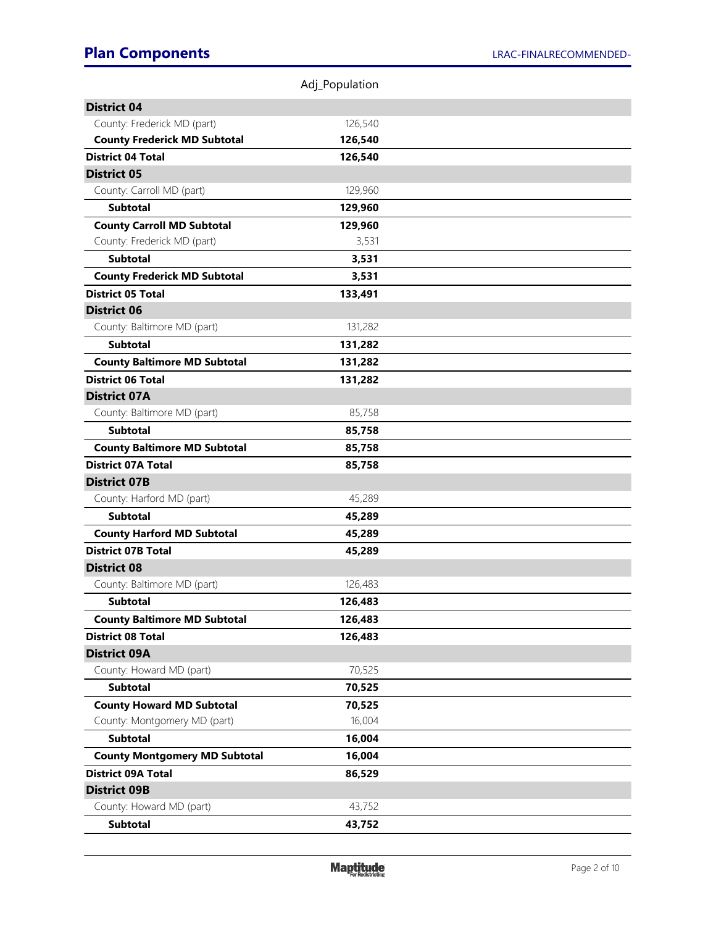|                                      | Adj_Population |  |
|--------------------------------------|----------------|--|
| <b>District 04</b>                   |                |  |
| County: Frederick MD (part)          | 126,540        |  |
| <b>County Frederick MD Subtotal</b>  | 126,540        |  |
| <b>District 04 Total</b>             | 126,540        |  |
| <b>District 05</b>                   |                |  |
| County: Carroll MD (part)            | 129,960        |  |
| <b>Subtotal</b>                      | 129,960        |  |
| <b>County Carroll MD Subtotal</b>    | 129,960        |  |
| County: Frederick MD (part)          | 3,531          |  |
| <b>Subtotal</b>                      | 3,531          |  |
| <b>County Frederick MD Subtotal</b>  | 3,531          |  |
| <b>District 05 Total</b>             | 133,491        |  |
| <b>District 06</b>                   |                |  |
| County: Baltimore MD (part)          | 131,282        |  |
| <b>Subtotal</b>                      | 131,282        |  |
| <b>County Baltimore MD Subtotal</b>  | 131,282        |  |
| <b>District 06 Total</b>             | 131,282        |  |
| <b>District 07A</b>                  |                |  |
| County: Baltimore MD (part)          | 85,758         |  |
| <b>Subtotal</b>                      | 85,758         |  |
| <b>County Baltimore MD Subtotal</b>  | 85,758         |  |
| <b>District 07A Total</b>            | 85,758         |  |
| <b>District 07B</b>                  |                |  |
| County: Harford MD (part)            | 45,289         |  |
| <b>Subtotal</b>                      | 45,289         |  |
| <b>County Harford MD Subtotal</b>    | 45,289         |  |
| <b>District 07B Total</b>            | 45,289         |  |
| <b>District 08</b>                   |                |  |
| County: Baltimore MD (part)          | 126,483        |  |
| <b>Subtotal</b>                      | 126,483        |  |
| <b>County Baltimore MD Subtotal</b>  | 126,483        |  |
| <b>District 08 Total</b>             | 126,483        |  |
| <b>District 09A</b>                  |                |  |
| County: Howard MD (part)             | 70,525         |  |
| <b>Subtotal</b>                      | 70,525         |  |
| <b>County Howard MD Subtotal</b>     | 70,525         |  |
| County: Montgomery MD (part)         | 16,004         |  |
| <b>Subtotal</b>                      | 16,004         |  |
| <b>County Montgomery MD Subtotal</b> | 16,004         |  |
| <b>District 09A Total</b>            | 86,529         |  |
| <b>District 09B</b>                  |                |  |
| County: Howard MD (part)             | 43,752         |  |
| <b>Subtotal</b>                      | 43,752         |  |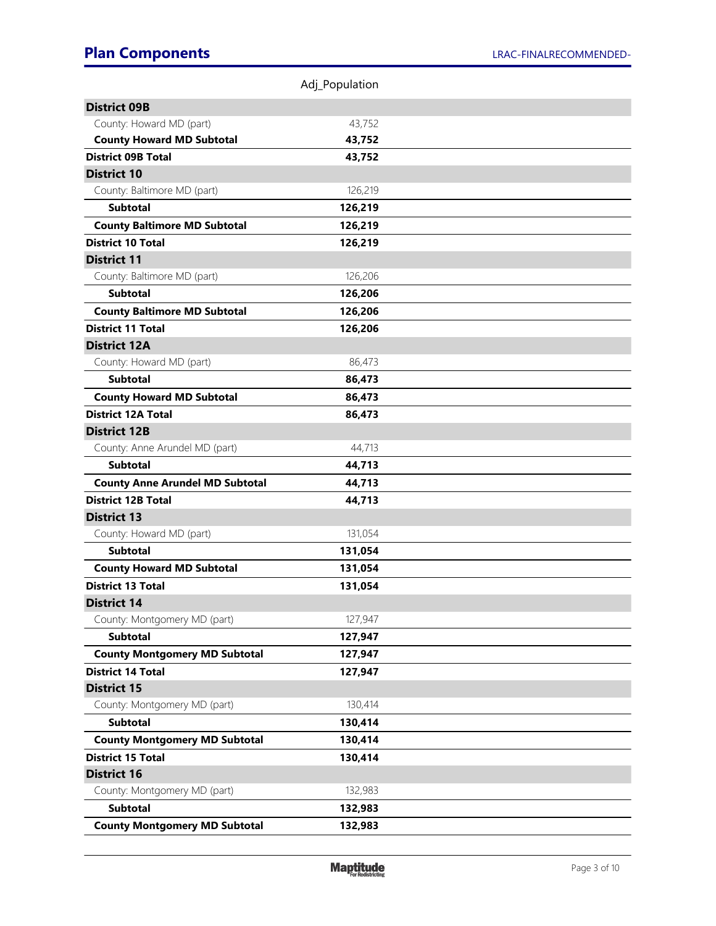|                                        | Adj_Population |  |
|----------------------------------------|----------------|--|
| <b>District 09B</b>                    |                |  |
| County: Howard MD (part)               | 43,752         |  |
| <b>County Howard MD Subtotal</b>       | 43,752         |  |
| <b>District 09B Total</b>              | 43,752         |  |
| <b>District 10</b>                     |                |  |
| County: Baltimore MD (part)            | 126,219        |  |
| <b>Subtotal</b>                        | 126,219        |  |
| <b>County Baltimore MD Subtotal</b>    | 126,219        |  |
| <b>District 10 Total</b>               | 126,219        |  |
| <b>District 11</b>                     |                |  |
| County: Baltimore MD (part)            | 126,206        |  |
| <b>Subtotal</b>                        | 126,206        |  |
| <b>County Baltimore MD Subtotal</b>    | 126,206        |  |
| <b>District 11 Total</b>               | 126,206        |  |
| <b>District 12A</b>                    |                |  |
| County: Howard MD (part)               | 86,473         |  |
| <b>Subtotal</b>                        | 86,473         |  |
| <b>County Howard MD Subtotal</b>       | 86,473         |  |
| <b>District 12A Total</b>              | 86,473         |  |
| <b>District 12B</b>                    |                |  |
| County: Anne Arundel MD (part)         | 44,713         |  |
| <b>Subtotal</b>                        | 44,713         |  |
| <b>County Anne Arundel MD Subtotal</b> | 44,713         |  |
| <b>District 12B Total</b>              | 44,713         |  |
| <b>District 13</b>                     |                |  |
| County: Howard MD (part)               | 131,054        |  |
| <b>Subtotal</b>                        | 131,054        |  |
| <b>County Howard MD Subtotal</b>       | 131,054        |  |
| <b>District 13 Total</b>               | 131,054        |  |
| <b>District 14</b>                     |                |  |
| County: Montgomery MD (part)           | 127,947        |  |
| <b>Subtotal</b>                        | 127,947        |  |
| <b>County Montgomery MD Subtotal</b>   | 127,947        |  |
| <b>District 14 Total</b>               | 127,947        |  |
| <b>District 15</b>                     |                |  |
| County: Montgomery MD (part)           | 130,414        |  |
| <b>Subtotal</b>                        | 130,414        |  |
| <b>County Montgomery MD Subtotal</b>   | 130,414        |  |
| <b>District 15 Total</b>               | 130,414        |  |
| <b>District 16</b>                     |                |  |
| County: Montgomery MD (part)           | 132,983        |  |
| <b>Subtotal</b>                        | 132,983        |  |
| <b>County Montgomery MD Subtotal</b>   | 132,983        |  |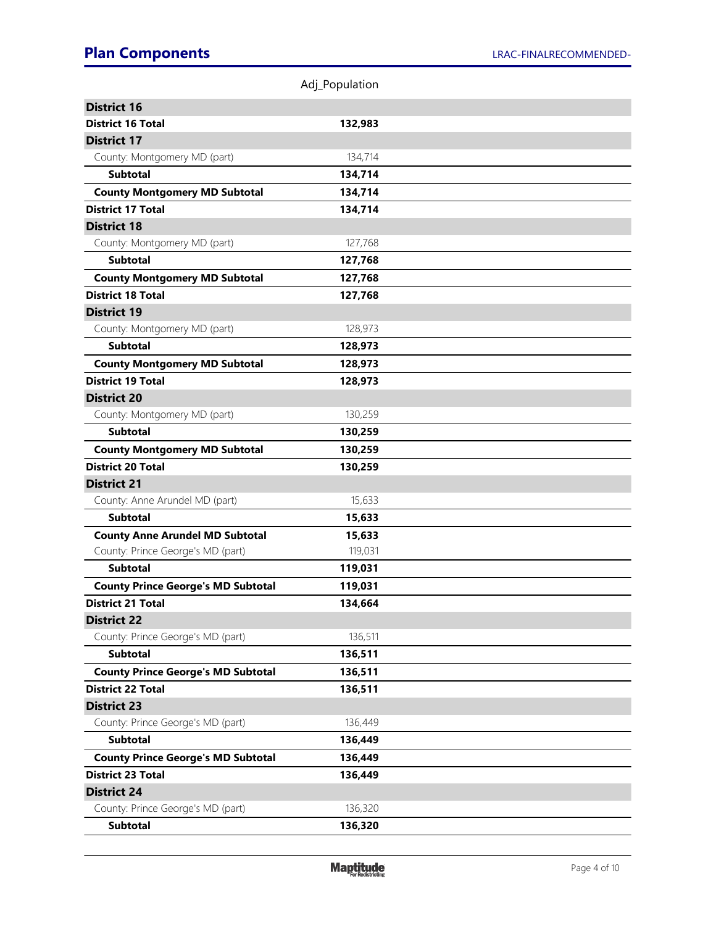|                                           | Adj_Population |  |
|-------------------------------------------|----------------|--|
| <b>District 16</b>                        |                |  |
| <b>District 16 Total</b>                  | 132,983        |  |
| <b>District 17</b>                        |                |  |
| County: Montgomery MD (part)              | 134,714        |  |
| <b>Subtotal</b>                           | 134,714        |  |
| <b>County Montgomery MD Subtotal</b>      | 134,714        |  |
| <b>District 17 Total</b>                  | 134,714        |  |
| <b>District 18</b>                        |                |  |
| County: Montgomery MD (part)              | 127,768        |  |
| <b>Subtotal</b>                           | 127,768        |  |
| <b>County Montgomery MD Subtotal</b>      | 127,768        |  |
| <b>District 18 Total</b>                  | 127,768        |  |
| <b>District 19</b>                        |                |  |
| County: Montgomery MD (part)              | 128,973        |  |
| <b>Subtotal</b>                           | 128,973        |  |
| <b>County Montgomery MD Subtotal</b>      | 128,973        |  |
| <b>District 19 Total</b>                  | 128,973        |  |
| <b>District 20</b>                        |                |  |
| County: Montgomery MD (part)              | 130,259        |  |
| <b>Subtotal</b>                           | 130,259        |  |
| <b>County Montgomery MD Subtotal</b>      | 130,259        |  |
| <b>District 20 Total</b>                  | 130,259        |  |
| <b>District 21</b>                        |                |  |
| County: Anne Arundel MD (part)            | 15,633         |  |
| <b>Subtotal</b>                           | 15,633         |  |
| <b>County Anne Arundel MD Subtotal</b>    | 15,633         |  |
| County: Prince George's MD (part)         | 119,031        |  |
| <b>Subtotal</b>                           | 119,031        |  |
| <b>County Prince George's MD Subtotal</b> | 119,031        |  |
| <b>District 21 Total</b>                  | 134,664        |  |
| <b>District 22</b>                        |                |  |
| County: Prince George's MD (part)         | 136,511        |  |
| <b>Subtotal</b>                           | 136,511        |  |
| <b>County Prince George's MD Subtotal</b> | 136,511        |  |
| <b>District 22 Total</b>                  | 136,511        |  |
| <b>District 23</b>                        |                |  |
| County: Prince George's MD (part)         | 136,449        |  |
| <b>Subtotal</b>                           | 136,449        |  |
| <b>County Prince George's MD Subtotal</b> | 136,449        |  |
| <b>District 23 Total</b>                  | 136,449        |  |
| <b>District 24</b>                        |                |  |
| County: Prince George's MD (part)         | 136,320        |  |
| <b>Subtotal</b>                           | 136,320        |  |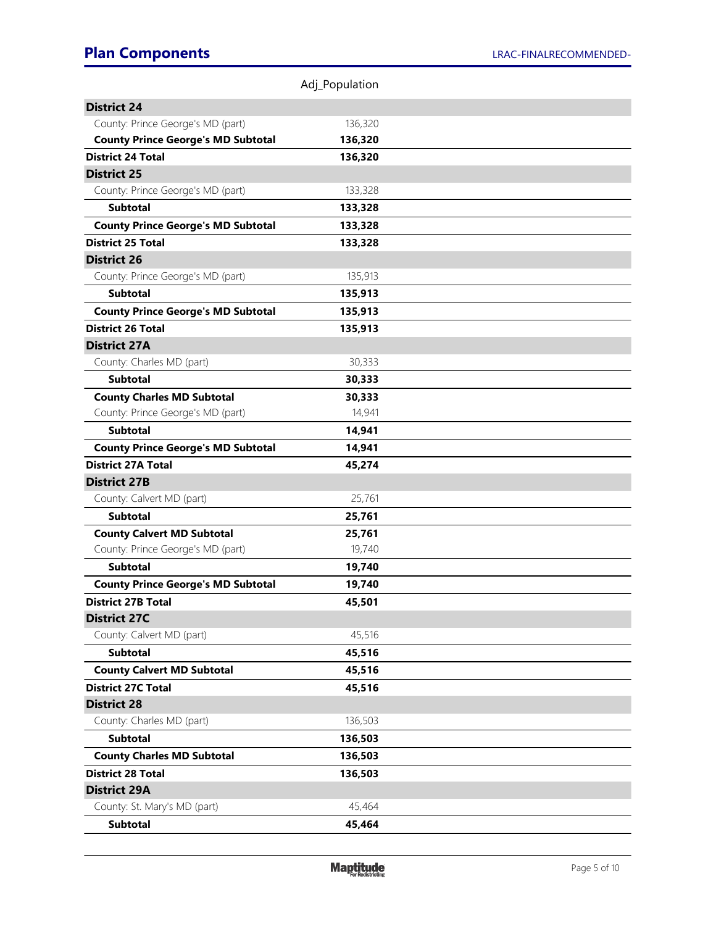|                                           | Adj_Population |  |
|-------------------------------------------|----------------|--|
| <b>District 24</b>                        |                |  |
| County: Prince George's MD (part)         | 136,320        |  |
| <b>County Prince George's MD Subtotal</b> | 136,320        |  |
| <b>District 24 Total</b>                  | 136,320        |  |
| <b>District 25</b>                        |                |  |
| County: Prince George's MD (part)         | 133,328        |  |
| <b>Subtotal</b>                           | 133,328        |  |
| <b>County Prince George's MD Subtotal</b> | 133,328        |  |
| <b>District 25 Total</b>                  | 133,328        |  |
| <b>District 26</b>                        |                |  |
| County: Prince George's MD (part)         | 135,913        |  |
| <b>Subtotal</b>                           | 135,913        |  |
| <b>County Prince George's MD Subtotal</b> | 135,913        |  |
| <b>District 26 Total</b>                  | 135,913        |  |
| <b>District 27A</b>                       |                |  |
| County: Charles MD (part)                 | 30,333         |  |
| <b>Subtotal</b>                           | 30,333         |  |
| <b>County Charles MD Subtotal</b>         | 30,333         |  |
| County: Prince George's MD (part)         | 14,941         |  |
| <b>Subtotal</b>                           | 14,941         |  |
| <b>County Prince George's MD Subtotal</b> | 14,941         |  |
| <b>District 27A Total</b>                 | 45,274         |  |
| <b>District 27B</b>                       |                |  |
| County: Calvert MD (part)                 | 25,761         |  |
| <b>Subtotal</b>                           | 25,761         |  |
| <b>County Calvert MD Subtotal</b>         | 25,761         |  |
| County: Prince George's MD (part)         | 19,740         |  |
| <b>Subtotal</b>                           | 19,740         |  |
| <b>County Prince George's MD Subtotal</b> | 19,740         |  |
| <b>District 27B Total</b>                 | 45,501         |  |
| <b>District 27C</b>                       |                |  |
| County: Calvert MD (part)                 | 45,516         |  |
| <b>Subtotal</b>                           | 45,516         |  |
| <b>County Calvert MD Subtotal</b>         | 45,516         |  |
| <b>District 27C Total</b>                 | 45,516         |  |
| <b>District 28</b>                        |                |  |
| County: Charles MD (part)                 | 136,503        |  |
| <b>Subtotal</b>                           | 136,503        |  |
| <b>County Charles MD Subtotal</b>         | 136,503        |  |
| <b>District 28 Total</b>                  | 136,503        |  |
| <b>District 29A</b>                       |                |  |
| County: St. Mary's MD (part)              | 45,464         |  |
| <b>Subtotal</b>                           | 45,464         |  |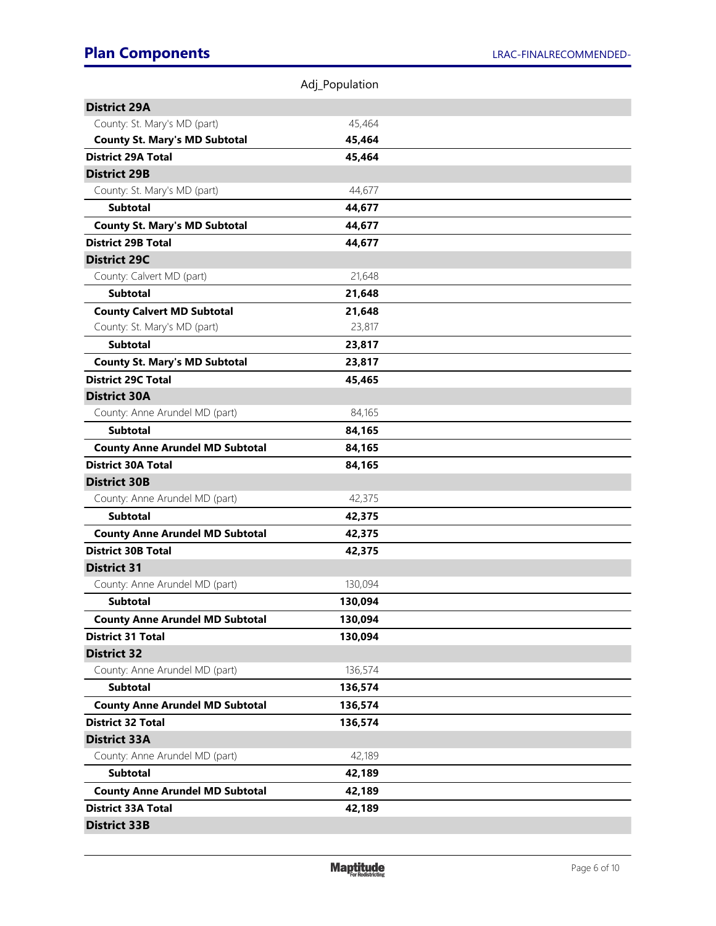|                                        | Adj_Population |  |
|----------------------------------------|----------------|--|
| <b>District 29A</b>                    |                |  |
| County: St. Mary's MD (part)           | 45,464         |  |
| <b>County St. Mary's MD Subtotal</b>   | 45,464         |  |
| <b>District 29A Total</b>              | 45,464         |  |
| <b>District 29B</b>                    |                |  |
| County: St. Mary's MD (part)           | 44,677         |  |
| <b>Subtotal</b>                        | 44,677         |  |
| <b>County St. Mary's MD Subtotal</b>   | 44,677         |  |
| <b>District 29B Total</b>              | 44,677         |  |
| <b>District 29C</b>                    |                |  |
| County: Calvert MD (part)              | 21,648         |  |
| <b>Subtotal</b>                        | 21,648         |  |
| <b>County Calvert MD Subtotal</b>      | 21,648         |  |
| County: St. Mary's MD (part)           | 23,817         |  |
| <b>Subtotal</b>                        | 23,817         |  |
| <b>County St. Mary's MD Subtotal</b>   | 23,817         |  |
| <b>District 29C Total</b>              | 45,465         |  |
| <b>District 30A</b>                    |                |  |
| County: Anne Arundel MD (part)         | 84,165         |  |
| <b>Subtotal</b>                        | 84,165         |  |
| <b>County Anne Arundel MD Subtotal</b> | 84,165         |  |
| <b>District 30A Total</b>              | 84,165         |  |
| <b>District 30B</b>                    |                |  |
| County: Anne Arundel MD (part)         | 42,375         |  |
| <b>Subtotal</b>                        | 42,375         |  |
| <b>County Anne Arundel MD Subtotal</b> | 42,375         |  |
| <b>District 30B Total</b>              | 42,375         |  |
| <b>District 31</b>                     |                |  |
| County: Anne Arundel MD (part)         | 130,094        |  |
| <b>Subtotal</b>                        | 130,094        |  |
| <b>County Anne Arundel MD Subtotal</b> | 130,094        |  |
| <b>District 31 Total</b>               | 130,094        |  |
| <b>District 32</b>                     |                |  |
| County: Anne Arundel MD (part)         | 136,574        |  |
| <b>Subtotal</b>                        | 136,574        |  |
| <b>County Anne Arundel MD Subtotal</b> | 136,574        |  |
| <b>District 32 Total</b>               | 136,574        |  |
| <b>District 33A</b>                    |                |  |
| County: Anne Arundel MD (part)         | 42,189         |  |
| <b>Subtotal</b>                        | 42,189         |  |
| <b>County Anne Arundel MD Subtotal</b> | 42,189         |  |
| <b>District 33A Total</b>              | 42,189         |  |
| <b>District 33B</b>                    |                |  |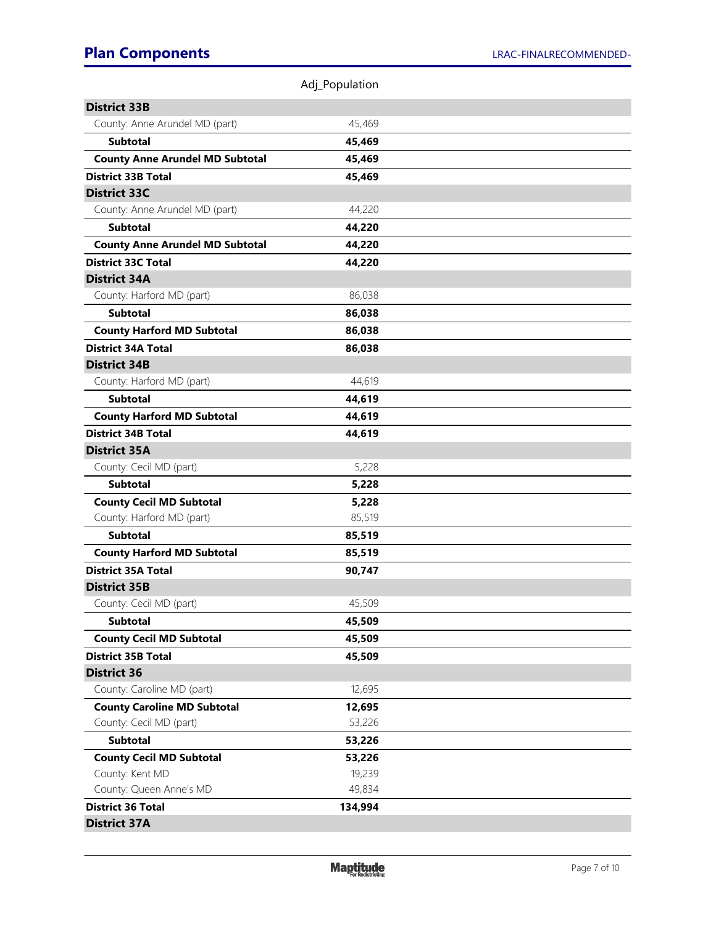|                                            | Adj_Population   |  |
|--------------------------------------------|------------------|--|
| <b>District 33B</b>                        |                  |  |
| County: Anne Arundel MD (part)             | 45,469           |  |
| <b>Subtotal</b>                            | 45,469           |  |
| <b>County Anne Arundel MD Subtotal</b>     | 45,469           |  |
| <b>District 33B Total</b>                  | 45,469           |  |
| <b>District 33C</b>                        |                  |  |
| County: Anne Arundel MD (part)             | 44,220           |  |
| <b>Subtotal</b>                            | 44,220           |  |
| <b>County Anne Arundel MD Subtotal</b>     | 44,220           |  |
| <b>District 33C Total</b>                  | 44,220           |  |
| <b>District 34A</b>                        |                  |  |
| County: Harford MD (part)                  | 86,038           |  |
| <b>Subtotal</b>                            | 86,038           |  |
| <b>County Harford MD Subtotal</b>          | 86,038           |  |
| <b>District 34A Total</b>                  | 86,038           |  |
| <b>District 34B</b>                        |                  |  |
| County: Harford MD (part)                  | 44,619           |  |
| <b>Subtotal</b>                            | 44,619           |  |
| <b>County Harford MD Subtotal</b>          | 44,619           |  |
| <b>District 34B Total</b>                  | 44,619           |  |
| <b>District 35A</b>                        |                  |  |
| County: Cecil MD (part)                    | 5,228            |  |
| <b>Subtotal</b>                            | 5,228            |  |
| <b>County Cecil MD Subtotal</b>            | 5,228            |  |
| County: Harford MD (part)                  | 85,519           |  |
| <b>Subtotal</b>                            | 85,519           |  |
| <b>County Harford MD Subtotal</b>          | 85,519           |  |
| <b>District 35A Total</b>                  | 90,747           |  |
| <b>District 35B</b>                        |                  |  |
| County: Cecil MD (part)                    | 45,509           |  |
| <b>Subtotal</b>                            | 45,509           |  |
| <b>County Cecil MD Subtotal</b>            | 45,509           |  |
| <b>District 35B Total</b>                  | 45,509           |  |
| <b>District 36</b>                         |                  |  |
| County: Caroline MD (part)                 | 12,695           |  |
| <b>County Caroline MD Subtotal</b>         | 12,695           |  |
| County: Cecil MD (part)                    | 53,226           |  |
| <b>Subtotal</b>                            | 53,226           |  |
| <b>County Cecil MD Subtotal</b>            | 53,226           |  |
| County: Kent MD<br>County: Queen Anne's MD | 19,239<br>49,834 |  |
| <b>District 36 Total</b>                   | 134,994          |  |
| <b>District 37A</b>                        |                  |  |
|                                            |                  |  |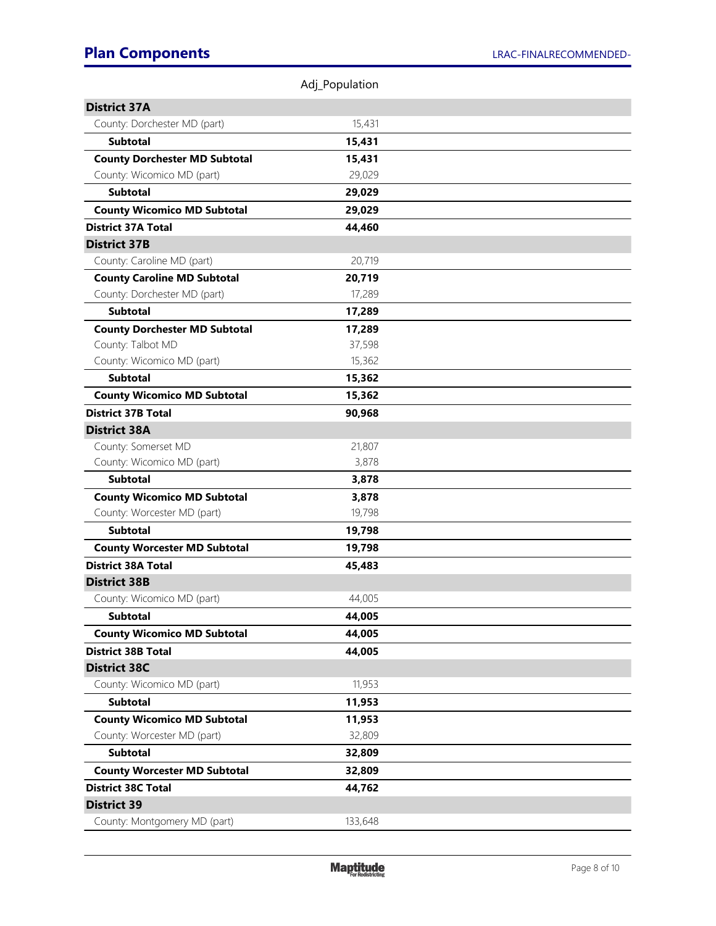|                                      | Adj_Population |  |
|--------------------------------------|----------------|--|
| <b>District 37A</b>                  |                |  |
| County: Dorchester MD (part)         | 15,431         |  |
| <b>Subtotal</b>                      | 15,431         |  |
| <b>County Dorchester MD Subtotal</b> | 15,431         |  |
| County: Wicomico MD (part)           | 29,029         |  |
| <b>Subtotal</b>                      | 29,029         |  |
| <b>County Wicomico MD Subtotal</b>   | 29,029         |  |
| <b>District 37A Total</b>            | 44,460         |  |
| <b>District 37B</b>                  |                |  |
| County: Caroline MD (part)           | 20,719         |  |
| <b>County Caroline MD Subtotal</b>   | 20,719         |  |
| County: Dorchester MD (part)         | 17,289         |  |
| <b>Subtotal</b>                      | 17,289         |  |
| <b>County Dorchester MD Subtotal</b> | 17,289         |  |
| County: Talbot MD                    | 37,598         |  |
| County: Wicomico MD (part)           | 15,362         |  |
| <b>Subtotal</b>                      | 15,362         |  |
| <b>County Wicomico MD Subtotal</b>   | 15,362         |  |
| <b>District 37B Total</b>            | 90,968         |  |
| <b>District 38A</b>                  |                |  |
| County: Somerset MD                  | 21,807         |  |
| County: Wicomico MD (part)           | 3,878          |  |
| <b>Subtotal</b>                      | 3,878          |  |
| <b>County Wicomico MD Subtotal</b>   | 3,878          |  |
| County: Worcester MD (part)          | 19,798         |  |
| <b>Subtotal</b>                      | 19,798         |  |
| <b>County Worcester MD Subtotal</b>  | 19,798         |  |
| <b>District 38A Total</b>            | 45,483         |  |
| <b>District 38B</b>                  |                |  |
| County: Wicomico MD (part)           | 44,005         |  |
| <b>Subtotal</b>                      | 44,005         |  |
| <b>County Wicomico MD Subtotal</b>   | 44,005         |  |
| <b>District 38B Total</b>            | 44,005         |  |
| <b>District 38C</b>                  |                |  |
| County: Wicomico MD (part)           | 11,953         |  |
| <b>Subtotal</b>                      | 11,953         |  |
| <b>County Wicomico MD Subtotal</b>   | 11,953         |  |
| County: Worcester MD (part)          | 32,809         |  |
| <b>Subtotal</b>                      | 32,809         |  |
| <b>County Worcester MD Subtotal</b>  | 32,809         |  |
| <b>District 38C Total</b>            | 44,762         |  |
| <b>District 39</b>                   |                |  |
| County: Montgomery MD (part)         | 133,648        |  |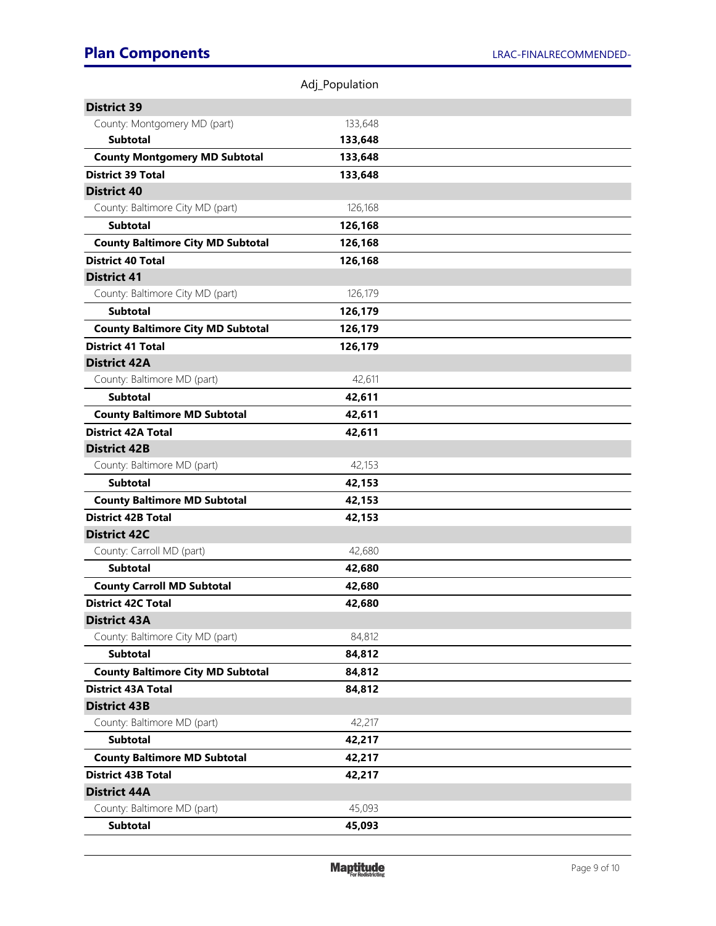|                                          | Adj_Population |  |
|------------------------------------------|----------------|--|
| <b>District 39</b>                       |                |  |
| County: Montgomery MD (part)             | 133,648        |  |
| <b>Subtotal</b>                          | 133,648        |  |
| <b>County Montgomery MD Subtotal</b>     | 133,648        |  |
| <b>District 39 Total</b>                 | 133,648        |  |
| <b>District 40</b>                       |                |  |
| County: Baltimore City MD (part)         | 126,168        |  |
| <b>Subtotal</b>                          | 126,168        |  |
| <b>County Baltimore City MD Subtotal</b> | 126,168        |  |
| <b>District 40 Total</b>                 | 126,168        |  |
| <b>District 41</b>                       |                |  |
| County: Baltimore City MD (part)         | 126,179        |  |
| <b>Subtotal</b>                          | 126,179        |  |
| <b>County Baltimore City MD Subtotal</b> | 126,179        |  |
| <b>District 41 Total</b>                 | 126,179        |  |
| <b>District 42A</b>                      |                |  |
| County: Baltimore MD (part)              | 42,611         |  |
| <b>Subtotal</b>                          | 42,611         |  |
| <b>County Baltimore MD Subtotal</b>      | 42,611         |  |
| <b>District 42A Total</b>                | 42,611         |  |
| <b>District 42B</b>                      |                |  |
| County: Baltimore MD (part)              | 42,153         |  |
| <b>Subtotal</b>                          | 42,153         |  |
| <b>County Baltimore MD Subtotal</b>      | 42,153         |  |
| <b>District 42B Total</b>                | 42,153         |  |
| <b>District 42C</b>                      |                |  |
| County: Carroll MD (part)                | 42,680         |  |
| <b>Subtotal</b>                          | 42,680         |  |
| <b>County Carroll MD Subtotal</b>        | 42,680         |  |
| <b>District 42C Total</b>                | 42,680         |  |
| <b>District 43A</b>                      |                |  |
| County: Baltimore City MD (part)         | 84,812         |  |
| <b>Subtotal</b>                          | 84,812         |  |
| <b>County Baltimore City MD Subtotal</b> | 84,812         |  |
| <b>District 43A Total</b>                | 84,812         |  |
| <b>District 43B</b>                      |                |  |
| County: Baltimore MD (part)              | 42,217         |  |
| <b>Subtotal</b>                          | 42,217         |  |
| <b>County Baltimore MD Subtotal</b>      | 42,217         |  |
| <b>District 43B Total</b>                | 42,217         |  |
| <b>District 44A</b>                      |                |  |
| County: Baltimore MD (part)              | 45,093         |  |
| <b>Subtotal</b>                          | 45,093         |  |